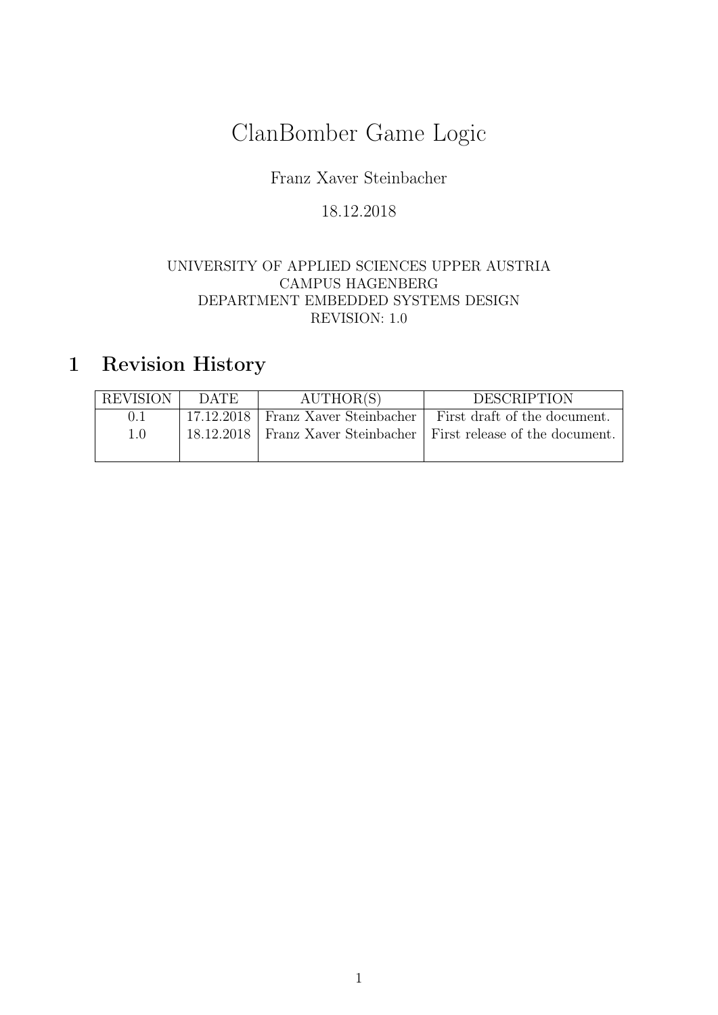# ClanBomber Game Logic

## Franz Xaver Steinbacher

## 18.12.2018

#### UNIVERSITY OF APPLIED SCIENCES UPPER AUSTRIA CAMPUS HAGENBERG DEPARTMENT EMBEDDED SYSTEMS DESIGN REVISION: 1.0

## 1 Revision History

| <b>REVISION</b> | DATE. | AUTHOR(S)                            | <b>DESCRIPTION</b>                                                    |
|-----------------|-------|--------------------------------------|-----------------------------------------------------------------------|
| 0.1             |       | 17.12.2018   Franz Xaver Steinbacher | First draft of the document.                                          |
| 1.0             |       |                                      | 18.12.2018   Franz Xaver Steinbacher   First release of the document. |
|                 |       |                                      |                                                                       |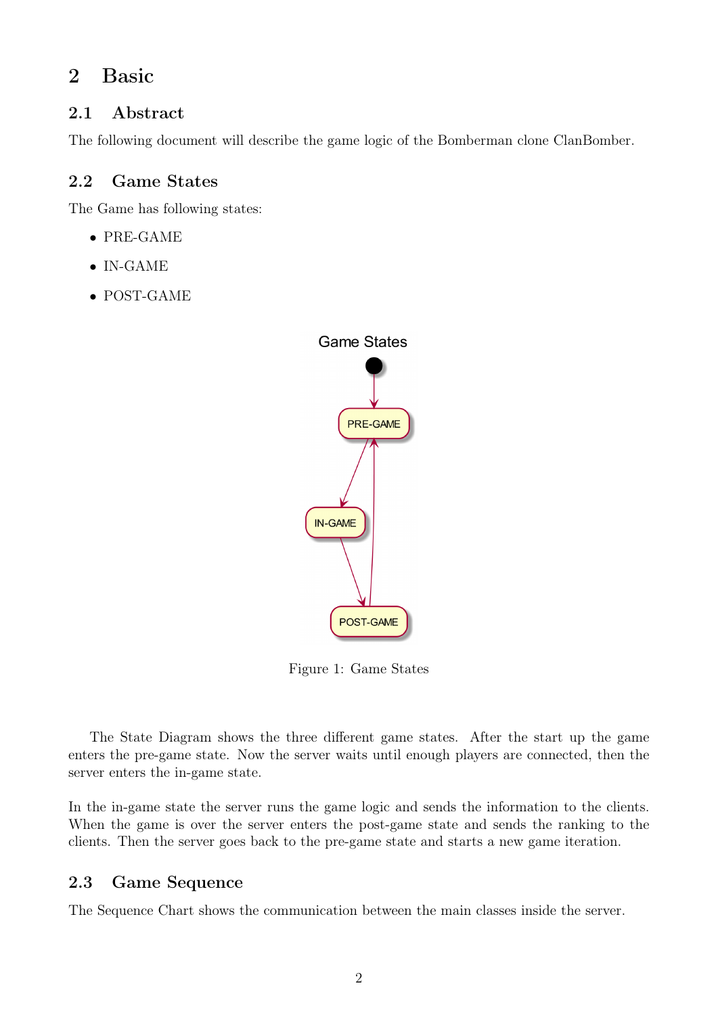## 2 Basic

## 2.1 Abstract

The following document will describe the game logic of the Bomberman clone ClanBomber.

## 2.2 Game States

The Game has following states:

- PRE-GAME
- IN-GAME
- POST-GAME



Figure 1: Game States

The State Diagram shows the three different game states. After the start up the game enters the pre-game state. Now the server waits until enough players are connected, then the server enters the in-game state.

In the in-game state the server runs the game logic and sends the information to the clients. When the game is over the server enters the post-game state and sends the ranking to the clients. Then the server goes back to the pre-game state and starts a new game iteration.

## 2.3 Game Sequence

The Sequence Chart shows the communication between the main classes inside the server.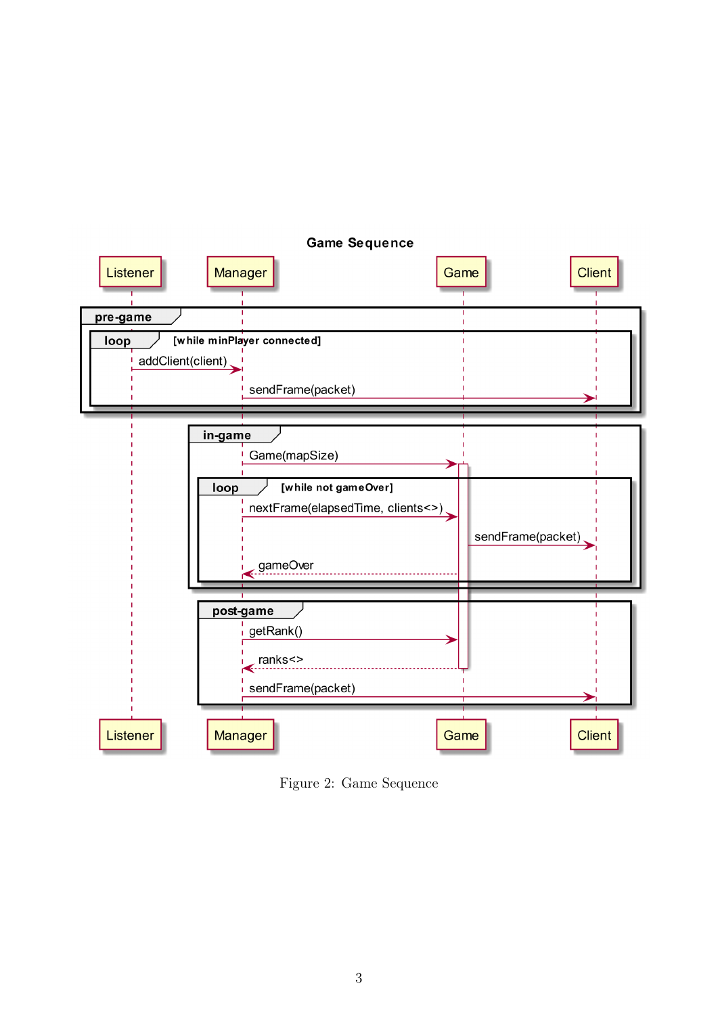

Figure 2: Game Sequence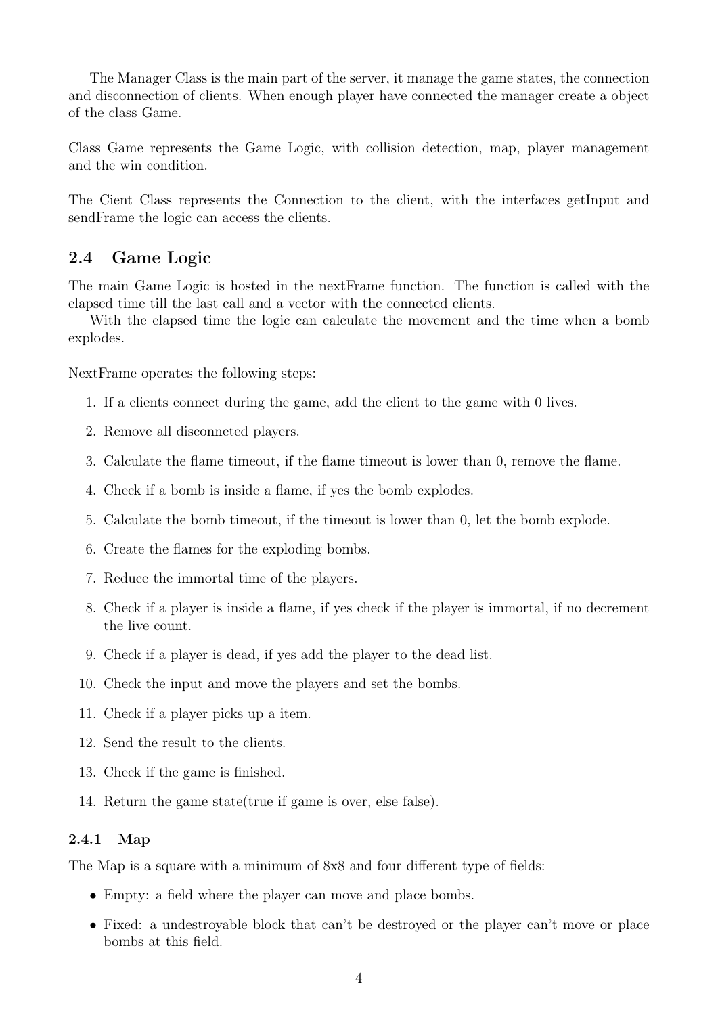The Manager Class is the main part of the server, it manage the game states, the connection and disconnection of clients. When enough player have connected the manager create a object of the class Game.

Class Game represents the Game Logic, with collision detection, map, player management and the win condition.

The Cient Class represents the Connection to the client, with the interfaces getInput and sendFrame the logic can access the clients.

#### 2.4 Game Logic

The main Game Logic is hosted in the nextFrame function. The function is called with the elapsed time till the last call and a vector with the connected clients.

With the elapsed time the logic can calculate the movement and the time when a bomb explodes.

NextFrame operates the following steps:

- 1. If a clients connect during the game, add the client to the game with 0 lives.
- 2. Remove all disconneted players.
- 3. Calculate the flame timeout, if the flame timeout is lower than 0, remove the flame.
- 4. Check if a bomb is inside a flame, if yes the bomb explodes.
- 5. Calculate the bomb timeout, if the timeout is lower than 0, let the bomb explode.
- 6. Create the flames for the exploding bombs.
- 7. Reduce the immortal time of the players.
- 8. Check if a player is inside a flame, if yes check if the player is immortal, if no decrement the live count.
- 9. Check if a player is dead, if yes add the player to the dead list.
- 10. Check the input and move the players and set the bombs.
- 11. Check if a player picks up a item.
- 12. Send the result to the clients.
- 13. Check if the game is finished.
- 14. Return the game state(true if game is over, else false).

#### 2.4.1 Map

The Map is a square with a minimum of 8x8 and four different type of fields:

- Empty: a field where the player can move and place bombs.
- Fixed: a undestroyable block that can't be destroyed or the player can't move or place bombs at this field.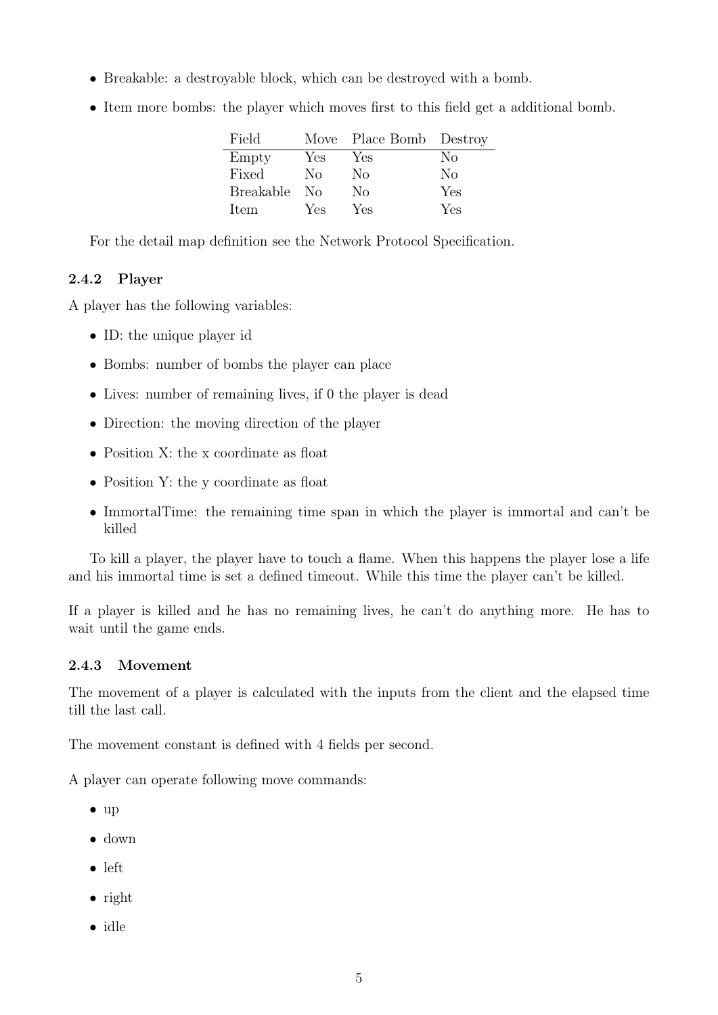- Breakable: a destroyable block, which can be destroyed with a bomb.
- Item more bombs: the player which moves first to this field get a additional bomb.

| Field            |     | Move Place Bomb Destroy |     |
|------------------|-----|-------------------------|-----|
| Empty            | Yes | Yes                     | Nο  |
| Fixed            | Nο  | No                      | No  |
| <b>Breakable</b> | -No | No                      | Yes |
| Item             | Yes | Yes                     | Yes |

For the detail map definition see the Network Protocol Specification.

#### 2.4.2 Player

A player has the following variables:

- ID: the unique player id
- Bombs: number of bombs the player can place
- Lives: number of remaining lives, if 0 the player is dead
- Direction: the moving direction of the player
- Position X: the x coordinate as float
- Position Y: the y coordinate as float
- ImmortalTime: the remaining time span in which the player is immortal and can't be killed

To kill a player, the player have to touch a flame. When this happens the player lose a life and his immortal time is set a defined timeout. While this time the player can't be killed.

If a player is killed and he has no remaining lives, he can't do anything more. He has to wait until the game ends.

#### 2.4.3 Movement

The movement of a player is calculated with the inputs from the client and the elapsed time till the last call.

The movement constant is defined with 4 fields per second.

A player can operate following move commands:

- up
- down
- left
- right
- idle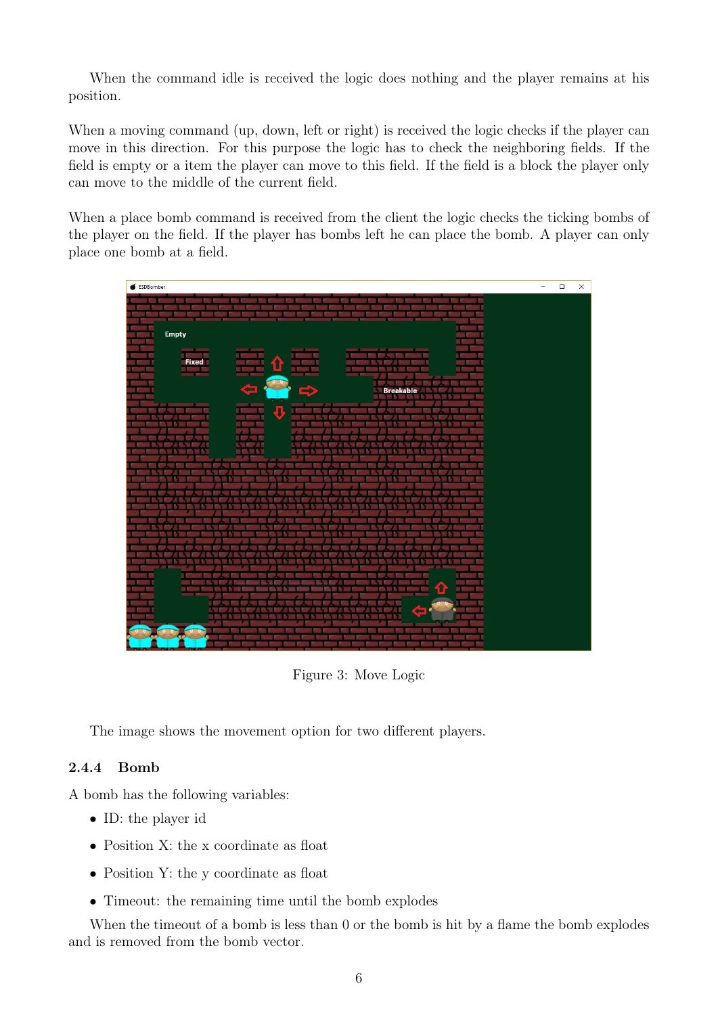When the command idle is received the logic does nothing and the player remains at his position.

When a moving command (up, down, left or right) is received the logic checks if the player can move in this direction. For this purpose the logic has to check the neighboring fields. If the field is empty or a item the player can move to this field. If the field is a block the player only can move to the middle of the current field.

When a place bomb command is received from the client the logic checks the ticking bombs of the player on the field. If the player has bombs left he can place the bomb. A player can only place one bomb at a field.

| ESDBomber                  | - | $\Box$ | $\times$ |
|----------------------------|---|--------|----------|
|                            |   |        |          |
| Empty<br>Fixed             |   |        |          |
| Œ<br><b>Breakable</b><br>▬ |   |        |          |
| U<br>Г                     |   |        |          |
|                            |   |        |          |
|                            |   |        |          |
|                            |   |        |          |
| Ш<br>û<br>в                |   |        |          |
| ک<br>P.<br>×<br>÷          |   |        |          |
|                            |   |        |          |

Figure 3: Move Logic

The image shows the movement option for two different players.

### 2.4.4 Bomb

A bomb has the following variables:

- ID: the player id
- Position X: the x coordinate as float
- Position Y: the y coordinate as float
- Timeout: the remaining time until the bomb explodes

When the timeout of a bomb is less than 0 or the bomb is hit by a flame the bomb explodes and is removed from the bomb vector.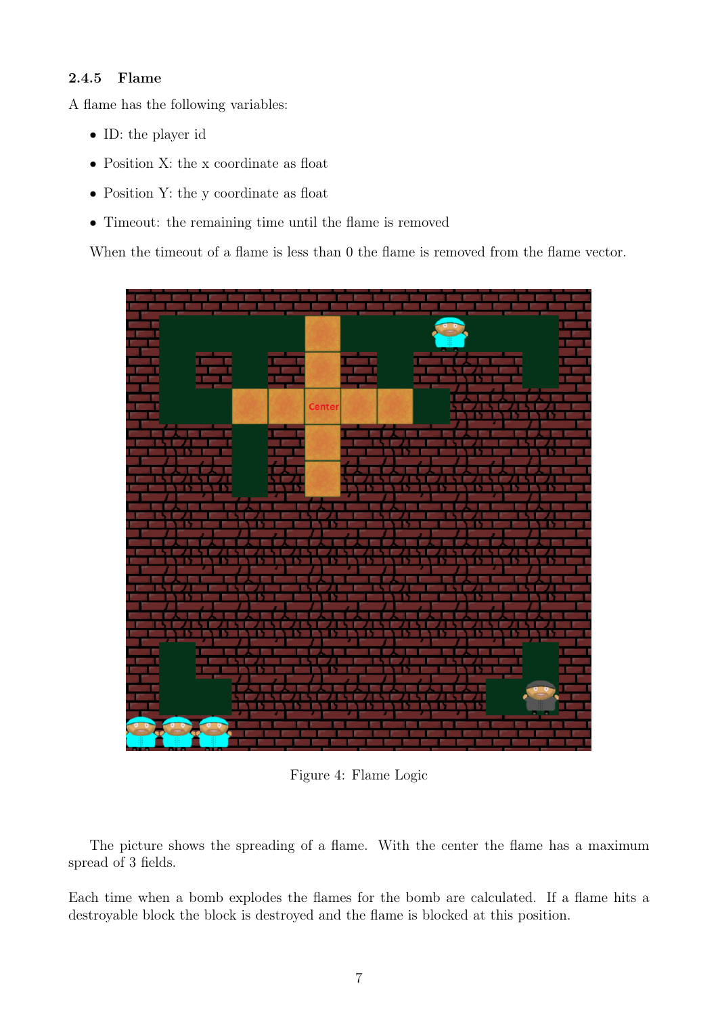#### 2.4.5 Flame

A flame has the following variables:

- ID: the player id
- Position X: the x coordinate as float
- Position Y: the y coordinate as float
- Timeout: the remaining time until the flame is removed

When the timeout of a flame is less than 0 the flame is removed from the flame vector.



Figure 4: Flame Logic

The picture shows the spreading of a flame. With the center the flame has a maximum spread of 3 fields.

Each time when a bomb explodes the flames for the bomb are calculated. If a flame hits a destroyable block the block is destroyed and the flame is blocked at this position.